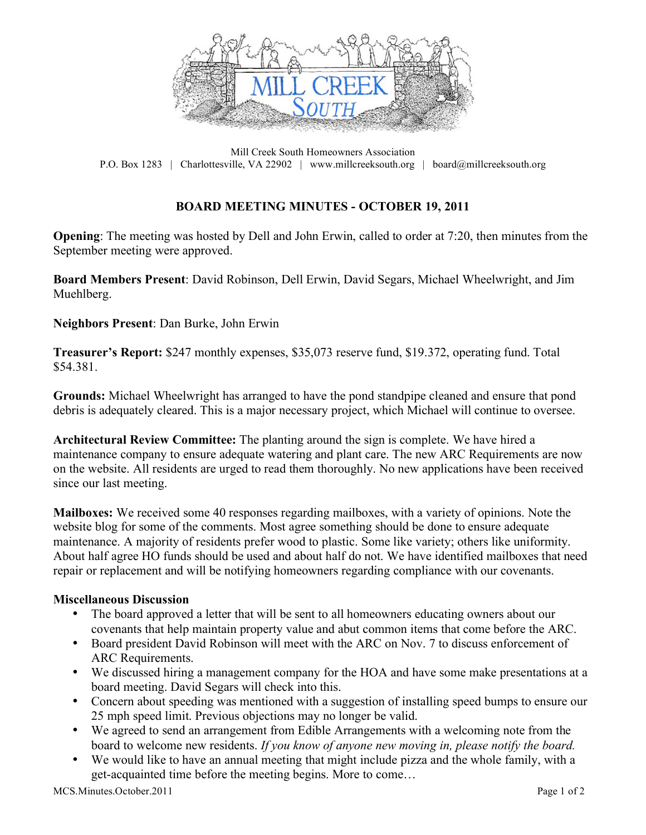

Mill Creek South Homeowners Association P.O. Box 1283 | Charlottesville, VA 22902 | www.millcreeksouth.org | board@millcreeksouth.org

## **BOARD MEETING MINUTES - OCTOBER 19, 2011**

**Opening**: The meeting was hosted by Dell and John Erwin, called to order at 7:20, then minutes from the September meeting were approved.

**Board Members Present**: David Robinson, Dell Erwin, David Segars, Michael Wheelwright, and Jim Muehlberg.

**Neighbors Present**: Dan Burke, John Erwin

**Treasurer's Report:** \$247 monthly expenses, \$35,073 reserve fund, \$19.372, operating fund. Total \$54.381.

**Grounds:** Michael Wheelwright has arranged to have the pond standpipe cleaned and ensure that pond debris is adequately cleared. This is a major necessary project, which Michael will continue to oversee.

**Architectural Review Committee:** The planting around the sign is complete. We have hired a maintenance company to ensure adequate watering and plant care. The new ARC Requirements are now on the website. All residents are urged to read them thoroughly. No new applications have been received since our last meeting.

**Mailboxes:** We received some 40 responses regarding mailboxes, with a variety of opinions. Note the website blog for some of the comments. Most agree something should be done to ensure adequate maintenance. A majority of residents prefer wood to plastic. Some like variety; others like uniformity. About half agree HO funds should be used and about half do not. We have identified mailboxes that need repair or replacement and will be notifying homeowners regarding compliance with our covenants.

## **Miscellaneous Discussion**

- The board approved a letter that will be sent to all homeowners educating owners about our covenants that help maintain property value and abut common items that come before the ARC.
- Board president David Robinson will meet with the ARC on Nov. 7 to discuss enforcement of ARC Requirements.
- We discussed hiring a management company for the HOA and have some make presentations at a board meeting. David Segars will check into this.
- Concern about speeding was mentioned with a suggestion of installing speed bumps to ensure our 25 mph speed limit. Previous objections may no longer be valid.
- We agreed to send an arrangement from Edible Arrangements with a welcoming note from the board to welcome new residents. *If you know of anyone new moving in, please notify the board.*
- We would like to have an annual meeting that might include pizza and the whole family, with a get-acquainted time before the meeting begins. More to come…